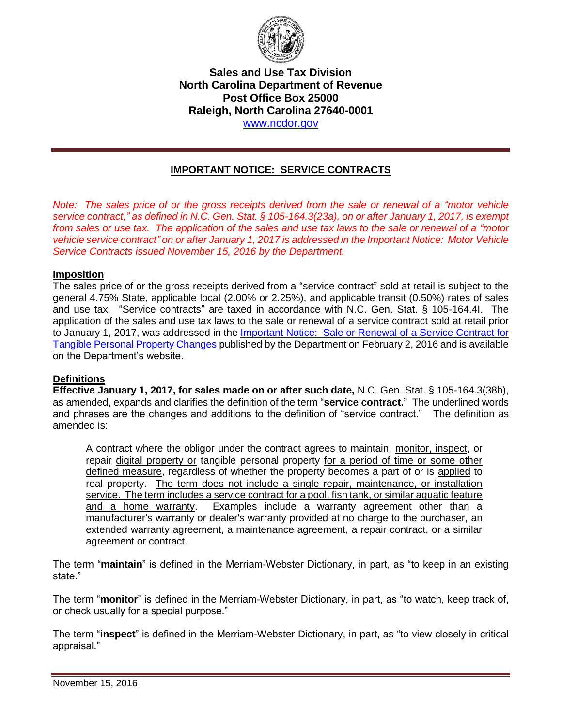

### **Sales and Use Tax Division North Carolina Department of Revenue Post Office Box 25000 Raleigh, North Carolina 27640-0001**  [www.ncdor.gov](https://www.ncdor.gov/)

# **IMPORTANT NOTICE: SERVICE CONTRACTS**

*Note: The sales price of or the gross receipts derived from the sale or renewal of a "motor vehicle service contract," as defined in N.C. Gen. Stat. § 105-164.3(23a), on or after January 1, 2017, is exempt from sales or use tax. The application of the sales and use tax laws to the sale or renewal of a "motor vehicle service contract" on or after January 1, 2017 is addressed in the Important Notice: Motor Vehicle Service Contracts issued November 15, 2016 by the Department.*

#### **Imposition**

The sales price of or the gross receipts derived from a "service contract" sold at retail is subject to the general 4.75% State, applicable local (2.00% or 2.25%), and applicable transit (0.50%) rates of sales and use tax. "Service contracts" are taxed in accordance with N.C. Gen. Stat. § 105-164.4I. The application of the sales and use tax laws to the sale or renewal of a service contract sold at retail prior to January 1, 2017, was addressed in the *Important Notice:* Sale or Renewal of a Service Contract for [Tangible Personal Property Changes](https://www.ncdor.gov/documents/important-notice-sale-or-renewal-service-contract-tangible-personal-property-changes) published by the Department on February 2, 2016 and is available on the Department's website.

### **Definitions**

**Effective January 1, 2017, for sales made on or after such date,** N.C. Gen. Stat. § 105-164.3(38b), as amended, expands and clarifies the definition of the term "**service contract.**" The underlined words and phrases are the changes and additions to the definition of "service contract." The definition as amended is:

A contract where the obligor under the contract agrees to maintain, monitor, inspect, or repair digital property or tangible personal property for a period of time or some other defined measure, regardless of whether the property becomes a part of or is applied to real property. The term does not include a single repair, maintenance, or installation service. The term includes a service contract for a pool, fish tank, or similar aquatic feature and a home warranty. Examples include a warranty agreement other than a manufacturer's warranty or dealer's warranty provided at no charge to the purchaser, an extended warranty agreement, a maintenance agreement, a repair contract, or a similar agreement or contract.

The term "**maintain**" is defined in the Merriam-Webster Dictionary, in part, as "to keep in an existing state."

The term "**monitor**" is defined in the Merriam-Webster Dictionary, in part, as "to watch, keep track of, or check usually for a special purpose."

The term "**inspect**" is defined in the Merriam-Webster Dictionary, in part, as "to view closely in critical appraisal."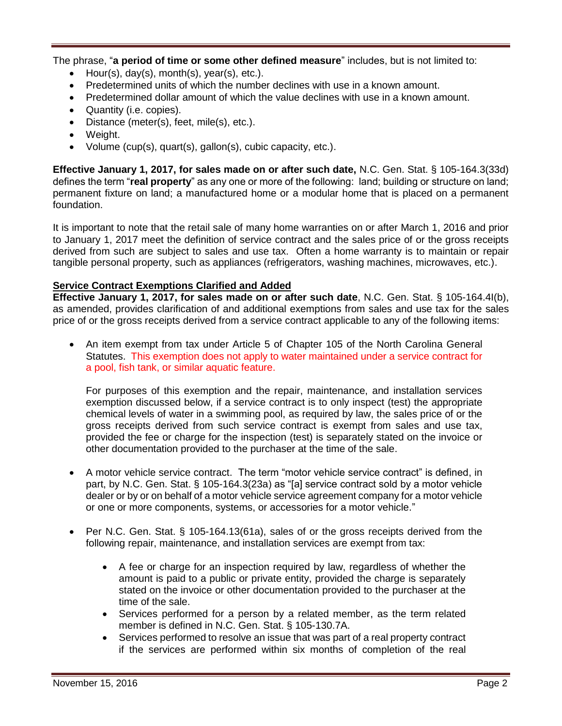The phrase, "**a period of time or some other defined measure**" includes, but is not limited to:

- Hour(s), day(s), month(s), year(s), etc.).
- Predetermined units of which the number declines with use in a known amount.
- Predetermined dollar amount of which the value declines with use in a known amount.
- Quantity (i.e. copies).
- Distance (meter(s), feet, mile(s), etc.).
- Weight.
- Volume (cup(s), quart(s), gallon(s), cubic capacity, etc.).

**Effective January 1, 2017, for sales made on or after such date,** N.C. Gen. Stat. § 105-164.3(33d) defines the term "**real property**" as any one or more of the following: land; building or structure on land; permanent fixture on land; a manufactured home or a modular home that is placed on a permanent foundation.

It is important to note that the retail sale of many home warranties on or after March 1, 2016 and prior to January 1, 2017 meet the definition of service contract and the sales price of or the gross receipts derived from such are subject to sales and use tax. Often a home warranty is to maintain or repair tangible personal property, such as appliances (refrigerators, washing machines, microwaves, etc.).

### **Service Contract Exemptions Clarified and Added**

**Effective January 1, 2017, for sales made on or after such date**, N.C. Gen. Stat. § 105-164.4I(b), as amended, provides clarification of and additional exemptions from sales and use tax for the sales price of or the gross receipts derived from a service contract applicable to any of the following items:

 An item exempt from tax under Article 5 of Chapter 105 of the North Carolina General Statutes. This exemption does not apply to water maintained under a service contract for a pool, fish tank, or similar aquatic feature.

For purposes of this exemption and the repair, maintenance, and installation services exemption discussed below, if a service contract is to only inspect (test) the appropriate chemical levels of water in a swimming pool, as required by law, the sales price of or the gross receipts derived from such service contract is exempt from sales and use tax, provided the fee or charge for the inspection (test) is separately stated on the invoice or other documentation provided to the purchaser at the time of the sale.

- A motor vehicle service contract. The term "motor vehicle service contract" is defined, in part, by N.C. Gen. Stat. § 105-164.3(23a) as "[a] service contract sold by a motor vehicle dealer or by or on behalf of a motor vehicle service agreement company for a motor vehicle or one or more components, systems, or accessories for a motor vehicle."
- Per N.C. Gen. Stat. § 105-164.13(61a), sales of or the gross receipts derived from the following repair, maintenance, and installation services are exempt from tax:
	- A fee or charge for an inspection required by law, regardless of whether the amount is paid to a public or private entity, provided the charge is separately stated on the invoice or other documentation provided to the purchaser at the time of the sale.
	- Services performed for a person by a related member, as the term related member is defined in N.C. Gen. Stat. § 105-130.7A.
	- Services performed to resolve an issue that was part of a real property contract if the services are performed within six months of completion of the real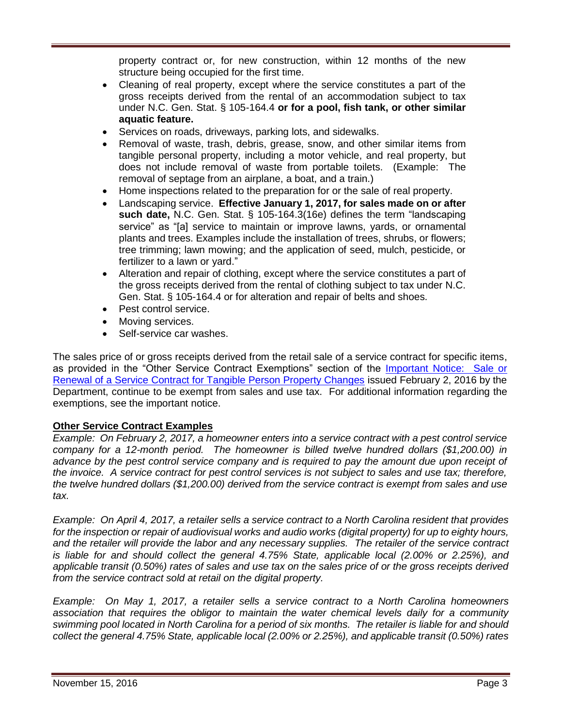property contract or, for new construction, within 12 months of the new structure being occupied for the first time.

- Cleaning of real property, except where the service constitutes a part of the gross receipts derived from the rental of an accommodation subject to tax under N.C. Gen. Stat. § 105-164.4 **or for a pool, fish tank, or other similar aquatic feature.**
- Services on roads, driveways, parking lots, and sidewalks.
- Removal of waste, trash, debris, grease, snow, and other similar items from tangible personal property, including a motor vehicle, and real property, but does not include removal of waste from portable toilets. (Example: The removal of septage from an airplane, a boat, and a train.)
- Home inspections related to the preparation for or the sale of real property.
- Landscaping service. **Effective January 1, 2017, for sales made on or after such date,** N.C. Gen. Stat. § 105-164.3(16e) defines the term "landscaping service" as "[a] service to maintain or improve lawns, yards, or ornamental plants and trees. Examples include the installation of trees, shrubs, or flowers; tree trimming; lawn mowing; and the application of seed, mulch, pesticide, or fertilizer to a lawn or yard."
- Alteration and repair of clothing, except where the service constitutes a part of the gross receipts derived from the rental of clothing subject to tax under N.C. Gen. Stat. § 105-164.4 or for alteration and repair of belts and shoes.
- Pest control service.
- Moving services.
- Self-service car washes.

The sales price of or gross receipts derived from the retail sale of a service contract for specific items, as provided in the "Other Service Contract Exemptions" section of the [Important Notice: Sale or](https://www.ncdor.gov/documents/important-notice-sale-or-renewal-service-contract-tangible-personal-property-changes)  [Renewal of a Service Contract for Tangible Person Property Changes](https://www.ncdor.gov/documents/important-notice-sale-or-renewal-service-contract-tangible-personal-property-changes) issued February 2, 2016 by the Department, continue to be exempt from sales and use tax. For additional information regarding the exemptions, see the important notice.

## **Other Service Contract Examples**

*Example: On February 2, 2017, a homeowner enters into a service contract with a pest control service company for a 12-month period. The homeowner is billed twelve hundred dollars (\$1,200.00) in*  advance by the pest control service company and is required to pay the amount due upon receipt of *the invoice. A service contract for pest control services is not subject to sales and use tax; therefore, the twelve hundred dollars (\$1,200.00) derived from the service contract is exempt from sales and use tax.*

*Example: On April 4, 2017, a retailer sells a service contract to a North Carolina resident that provides for the inspection or repair of audiovisual works and audio works (digital property) for up to eighty hours, and the retailer will provide the labor and any necessary supplies. The retailer of the service contract is liable for and should collect the general 4.75% State, applicable local (2.00% or 2.25%), and applicable transit (0.50%) rates of sales and use tax on the sales price of or the gross receipts derived from the service contract sold at retail on the digital property.*

*Example: On May 1, 2017, a retailer sells a service contract to a North Carolina homeowners association that requires the obligor to maintain the water chemical levels daily for a community swimming pool located in North Carolina for a period of six months. The retailer is liable for and should collect the general 4.75% State, applicable local (2.00% or 2.25%), and applicable transit (0.50%) rates*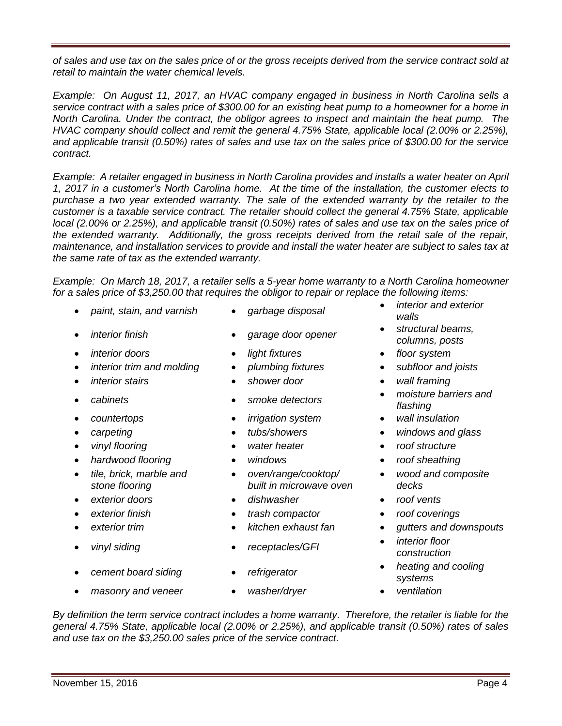*of sales and use tax on the sales price of or the gross receipts derived from the service contract sold at retail to maintain the water chemical levels.* 

*Example: On August 11, 2017, an HVAC company engaged in business in North Carolina sells a service contract with a sales price of \$300.00 for an existing heat pump to a homeowner for a home in North Carolina. Under the contract, the obligor agrees to inspect and maintain the heat pump. The HVAC company should collect and remit the general 4.75% State, applicable local (2.00% or 2.25%), and applicable transit (0.50%) rates of sales and use tax on the sales price of \$300.00 for the service contract.*

*Example: A retailer engaged in business in North Carolina provides and installs a water heater on April 1, 2017 in a customer's North Carolina home. At the time of the installation, the customer elects to*  purchase a two year extended warranty. The sale of the extended warranty by the retailer to the *customer is a taxable service contract. The retailer should collect the general 4.75% State, applicable local (2.00% or 2.25%), and applicable transit (0.50%) rates of sales and use tax on the sales price of the extended warranty. Additionally, the gross receipts derived from the retail sale of the repair, maintenance, and installation services to provide and install the water heater are subject to sales tax at the same rate of tax as the extended warranty.*

*Example: On March 18, 2017, a retailer sells a 5-year home warranty to a North Carolina homeowner for a sales price of \$3,250.00 that requires the obligor to repair or replace the following items:*

- 
- 
- *interior doors light fixtures floor system*
- *interior trim and molding plumbing fixtures subfloor and joists*
- 
- 
- 
- 
- 
- 
- *tile, brick, marble and stone flooring*
- 
- 
- 
- 
- 
- 
- 
- 
- *interior stairs shower door wall framing*
	-
- *countertops irrigation system wall insulation*
	-
	-
	-
	- *oven/range/cooktop/ built in microwave oven*
- *exterior doors dishwasher roof vents*
- *exterior finish trash compactor roof coverings*
	-
	-
	-
- *paint, stain, and varnish garbage disposal interior and exterior walls*
	- *interior finish garage door opener structural beams, columns, posts*
		-
		-
		-
	- *cabinets smoke detectors moisture barriers and flashing*
		-
- *carpeting tubs/showers windows and glass*
	- *vinyl flooring water heater roof structure*
	- *hardwood flooring windows roof sheathing*
		- *wood and composite decks*
		-
		-
	- *exterior trim kitchen exhaust fan gutters and downspouts*
		- *construction*
	- *cement board siding refrigerator heating and cooling i systems*
		-
- -
	- -
	-
	-
- *vinyl siding receptacles/GFI interior floor* 
	-
- *masonry and veneer washer/dryer ventilation*
- 

*and use tax on the \$3,250.00 sales price of the service contract.* 

- -
- -
- 
- -
- 
- *By definition the term service contract includes a home warranty. Therefore, the retailer is liable for the general 4.75% State, applicable local (2.00% or 2.25%), and applicable transit (0.50%) rates of sales*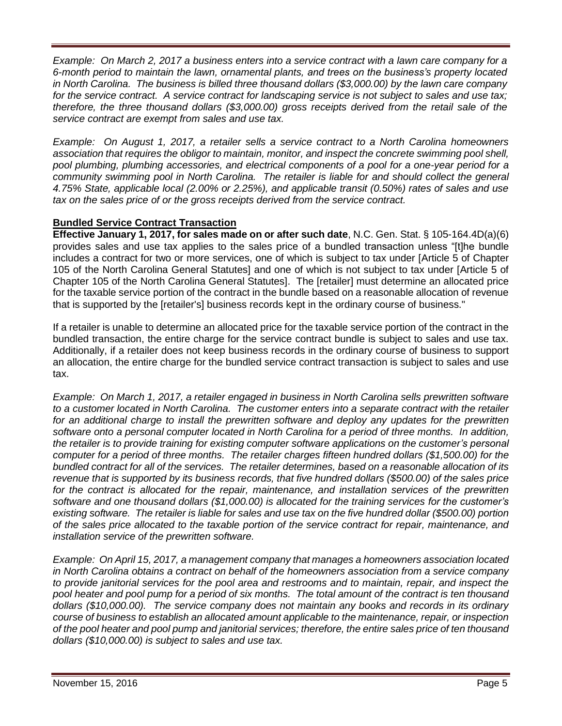*Example: On March 2, 2017 a business enters into a service contract with a lawn care company for a 6-month period to maintain the lawn, ornamental plants, and trees on the business's property located in North Carolina. The business is billed three thousand dollars (\$3,000.00) by the lawn care company for the service contract. A service contract for landscaping service is not subject to sales and use tax; therefore, the three thousand dollars (\$3,000.00) gross receipts derived from the retail sale of the service contract are exempt from sales and use tax.*

*Example: On August 1, 2017, a retailer sells a service contract to a North Carolina homeowners association that requires the obligor to maintain, monitor, and inspect the concrete swimming pool shell, pool plumbing, plumbing accessories, and electrical components of a pool for a one-year period for a community swimming pool in North Carolina. The retailer is liable for and should collect the general 4.75% State, applicable local (2.00% or 2.25%), and applicable transit (0.50%) rates of sales and use tax on the sales price of or the gross receipts derived from the service contract.*

# **Bundled Service Contract Transaction**

**Effective January 1, 2017, for sales made on or after such date**, N.C. Gen. Stat. § 105-164.4D(a)(6) provides sales and use tax applies to the sales price of a bundled transaction unless "[t]he bundle includes a contract for two or more services, one of which is subject to tax under [Article 5 of Chapter 105 of the North Carolina General Statutes] and one of which is not subject to tax under [Article 5 of Chapter 105 of the North Carolina General Statutes]. The [retailer] must determine an allocated price for the taxable service portion of the contract in the bundle based on a reasonable allocation of revenue that is supported by the [retailer's] business records kept in the ordinary course of business."

If a retailer is unable to determine an allocated price for the taxable service portion of the contract in the bundled transaction, the entire charge for the service contract bundle is subject to sales and use tax. Additionally, if a retailer does not keep business records in the ordinary course of business to support an allocation, the entire charge for the bundled service contract transaction is subject to sales and use tax.

*Example: On March 1, 2017, a retailer engaged in business in North Carolina sells prewritten software to a customer located in North Carolina. The customer enters into a separate contract with the retailer for an additional charge to install the prewritten software and deploy any updates for the prewritten software onto a personal computer located in North Carolina for a period of three months. In addition, the retailer is to provide training for existing computer software applications on the customer's personal computer for a period of three months. The retailer charges fifteen hundred dollars (\$1,500.00) for the bundled contract for all of the services. The retailer determines, based on a reasonable allocation of its revenue that is supported by its business records, that five hundred dollars (\$500.00) of the sales price for the contract is allocated for the repair, maintenance, and installation services of the prewritten software and one thousand dollars (\$1,000.00) is allocated for the training services for the customer's existing software. The retailer is liable for sales and use tax on the five hundred dollar (\$500.00) portion of the sales price allocated to the taxable portion of the service contract for repair, maintenance, and installation service of the prewritten software.*

*Example: On April 15, 2017, a management company that manages a homeowners association located in North Carolina obtains a contract on behalf of the homeowners association from a service company to provide janitorial services for the pool area and restrooms and to maintain, repair, and inspect the pool heater and pool pump for a period of six months. The total amount of the contract is ten thousand dollars (\$10,000.00). The service company does not maintain any books and records in its ordinary course of business to establish an allocated amount applicable to the maintenance, repair, or inspection of the pool heater and pool pump and janitorial services; therefore, the entire sales price of ten thousand dollars (\$10,000.00) is subject to sales and use tax.*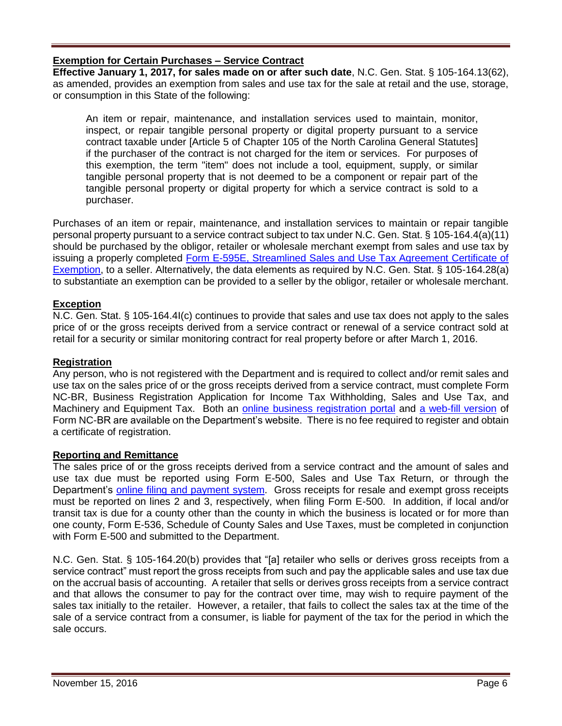## **Exemption for Certain Purchases – Service Contract**

**Effective January 1, 2017, for sales made on or after such date**, N.C. Gen. Stat. § 105-164.13(62), as amended, provides an exemption from sales and use tax for the sale at retail and the use, storage, or consumption in this State of the following:

An item or repair, maintenance, and installation services used to maintain, monitor, inspect, or repair tangible personal property or digital property pursuant to a service contract taxable under [Article 5 of Chapter 105 of the North Carolina General Statutes] if the purchaser of the contract is not charged for the item or services. For purposes of this exemption, the term "item" does not include a tool, equipment, supply, or similar tangible personal property that is not deemed to be a component or repair part of the tangible personal property or digital property for which a service contract is sold to a purchaser.

Purchases of an item or repair, maintenance, and installation services to maintain or repair tangible personal property pursuant to a service contract subject to tax under N.C. Gen. Stat. § 105-164.4(a)(11) should be purchased by the obligor, retailer or wholesale merchant exempt from sales and use tax by issuing a properly completed [Form E-595E, Streamlined Sales and Use Tax Agreement Certificate of](https://www.ncdor.gov/documents/form-e-595e-streamlined-sales-and-use-tax-agreement-certificate-exemption)  [Exemption,](https://www.ncdor.gov/documents/form-e-595e-streamlined-sales-and-use-tax-agreement-certificate-exemption) to a seller. Alternatively, the data elements as required by N.C. Gen. Stat. § 105-164.28(a) to substantiate an exemption can be provided to a seller by the obligor, retailer or wholesale merchant.

### **Exception**

N.C. Gen. Stat. § 105-164.4I(c) continues to provide that sales and use tax does not apply to the sales price of or the gross receipts derived from a service contract or renewal of a service contract sold at retail for a security or similar monitoring contract for real property before or after March 1, 2016.

## **Registration**

Any person, who is not registered with the Department and is required to collect and/or remit sales and use tax on the sales price of or the gross receipts derived from a service contract, must complete Form NC-BR, Business Registration Application for Income Tax Withholding, Sales and Use Tax, and Machinery and Equipment Tax. Both an [online business registration portal](https://www.ncdor.gov/taxes/business-registration/online-business-registration) and [a web-fill version](https://www.ncdor.gov/documents/form-nc-br-business-registration-application-withholding-sales-and-machinery) of Form NC-BR are available on the Department's website. There is no fee required to register and obtain a certificate of registration.

### **Reporting and Remittance**

The sales price of or the gross receipts derived from a service contract and the amount of sales and use tax due must be reported using Form E-500, Sales and Use Tax Return, or through the Department's [online filing and payment system.](https://eservices.dor.nc.gov/sau/contact.jsp) Gross receipts for resale and exempt gross receipts must be reported on lines 2 and 3, respectively, when filing Form E-500. In addition, if local and/or transit tax is due for a county other than the county in which the business is located or for more than one county, Form E-536, Schedule of County Sales and Use Taxes, must be completed in conjunction with Form E-500 and submitted to the Department.

N.C. Gen. Stat. § 105-164.20(b) provides that "[a] retailer who sells or derives gross receipts from a service contract" must report the gross receipts from such and pay the applicable sales and use tax due on the accrual basis of accounting. A retailer that sells or derives gross receipts from a service contract and that allows the consumer to pay for the contract over time, may wish to require payment of the sales tax initially to the retailer. However, a retailer, that fails to collect the sales tax at the time of the sale of a service contract from a consumer, is liable for payment of the tax for the period in which the sale occurs.